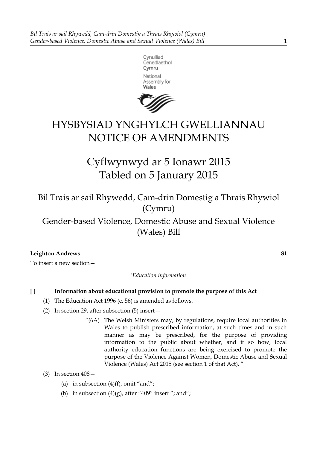



# HYSBYSIAD YNGHYLCH GWELLIANNAU NOTICE OF AMENDMENTS

Cyflwynwyd ar 5 Ionawr 2015 Tabled on 5 January 2015

Bil Trais ar sail Rhywedd, Cam-drin Domestig a Thrais Rhywiol (Cymru)

Gender-based Violence, Domestic Abuse and Sexual Violence (Wales) Bill

# **Leighton Andrews 81**

To insert a new section—

*'Education information*

# **[ ] Information about educational provision to promote the purpose of this Act**

- (1) The Education Act 1996 (c. 56) is amended as follows.
- (2) In section 29, after subsection (5) insert—
	- "(6A) The Welsh Ministers may, by regulations, require local authorities in Wales to publish prescribed information, at such times and in such manner as may be prescribed, for the purpose of providing information to the public about whether, and if so how, local authority education functions are being exercised to promote the purpose of the Violence Against Women, Domestic Abuse and Sexual Violence (Wales) Act 2015 (see section 1 of that Act). "
- (3) In section 408—
	- (a) in subsection  $(4)(f)$ , omit "and";
	- (b) in subsection  $(4)(g)$ , after "409" insert "; and";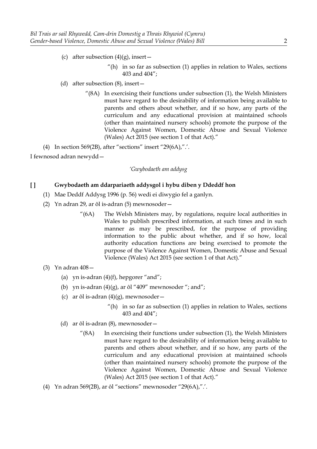- (c) after subsection  $(4)(g)$ , insert
	- "(h) in so far as subsection (1) applies in relation to Wales, sections 403 and 404";
- (d) after subsection (8), insert—
	- $^{\prime\prime}$ (8A) In exercising their functions under subsection (1), the Welsh Ministers must have regard to the desirability of information being available to parents and others about whether, and if so how, any parts of the curriculum and any educational provision at maintained schools (other than maintained nursery schools) promote the purpose of the Violence Against Women, Domestic Abuse and Sexual Violence (Wales) Act 2015 (see section 1 of that Act)."
- (4) In section 569(2B), after "sections" insert "29(6A),".'.

I fewnosod adran newydd—

#### *'Gwybodaeth am addysg*

### **[ ] Gwybodaeth am ddarpariaeth addysgol i hybu diben y Ddeddf hon**

- (1) Mae Deddf Addysg 1996 (p. 56) wedi ei diwygio fel a ganlyn.
- (2) Yn adran 29, ar ôl is-adran (5) mewnosoder—
	- "(6A) The Welsh Ministers may, by regulations, require local authorities in Wales to publish prescribed information, at such times and in such manner as may be prescribed, for the purpose of providing information to the public about whether, and if so how, local authority education functions are being exercised to promote the purpose of the Violence Against Women, Domestic Abuse and Sexual Violence (Wales) Act 2015 (see section 1 of that Act)."
- (3) Yn adran 408—
	- (a) yn is-adran  $(4)(f)$ , hepgorer "and";
	- (b) yn is-adran  $(4)(g)$ , ar ôl "409" mewnosoder "; and";
	- (c) ar ôl is-adran  $(4)(g)$ , mewnosoder
		- "(h) in so far as subsection  $(1)$  applies in relation to Wales, sections 403 and 404";
	- (d) ar ôl is-adran (8), mewnosoder—
		- $^{\prime\prime}$ (8A) In exercising their functions under subsection (1), the Welsh Ministers must have regard to the desirability of information being available to parents and others about whether, and if so how, any parts of the curriculum and any educational provision at maintained schools (other than maintained nursery schools) promote the purpose of the Violence Against Women, Domestic Abuse and Sexual Violence (Wales) Act 2015 (see section 1 of that Act)."
- (4) Yn adran 569(2B), ar ôl "sections" mewnosoder "29(6A),".'.